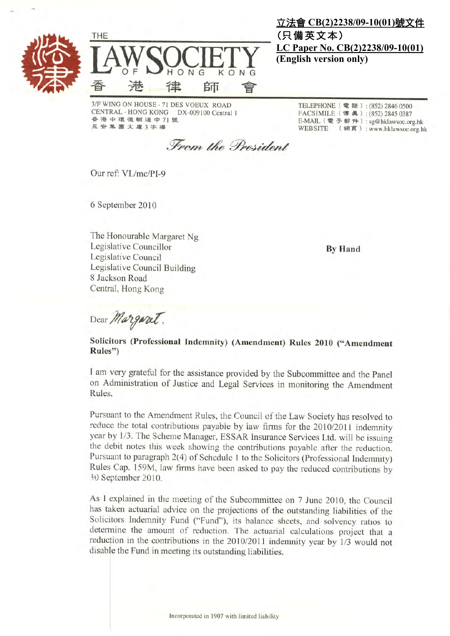



3/F WING ON HOUSE - 71 DES VOEUX ROAD CENTRAL · HONG KONG DX-009100 Central 1 香港中環德輔道中71號 永安 集團大廈3字樓

立法會 CB(2)2238/09-10(01)號文件 (只備英文本) LC Paper No. CB(2)2238/09-10(01) (English version only)

> TELEPHONE (電話): (852) 2846 0500 FACSIMILE (博典): (852) 2845 0387 E-MAIL (電子郵件):sg@hklawsoc.org.hk WEBSITE (網頁):www.hklawsoc.org.hk

From the President

Our ref: VL/mc/PI-9

6 September 2010

The Honourable Margaret Ng Legislative Councillor Legislative Council Legislative Council Building 8 Jackson Road Central, Hong Kong

**By Hand** 

Dear Margaret.

## Solicitors (Professional Indemnity) (Amendment) Rules 2010 ("Amendment Rules")

I am very grateful for the assistance provided by the Subcommittee and the Panel on Administration of Justice and Legal Services in monitoring the Amendment Rules.

Pursuant to the Amendment Rules, the Council of the Law Society has resolved to reduce the total contributions payable by law firms for the 2010/2011 indemnity year by 1/3. The Scheme Manager, ESSAR Insurance Services Ltd. will be issuing the debit notes this week showing the contributions payable after the reduction. Pursuant to paragraph 2(4) of Schedule 1 to the Solicitors (Professional Indemnity) Rules Cap. 159M, law firms have been asked to pay the reduced contributions by 30 September 2010.

As I explained in the meeting of the Subcommittee on 7 June 2010, the Council has taken actuarial advice on the projections of the outstanding liabilities of the Solicitors Indemnity Fund ("Fund"), its balance sheets, and solvency ratios to determine the amount of reduction. The actuarial calculations project that a reduction in the contributions in the 2010/2011 indemnity year by 1/3 would not disable the Fund in meeting its outstanding liabilities.